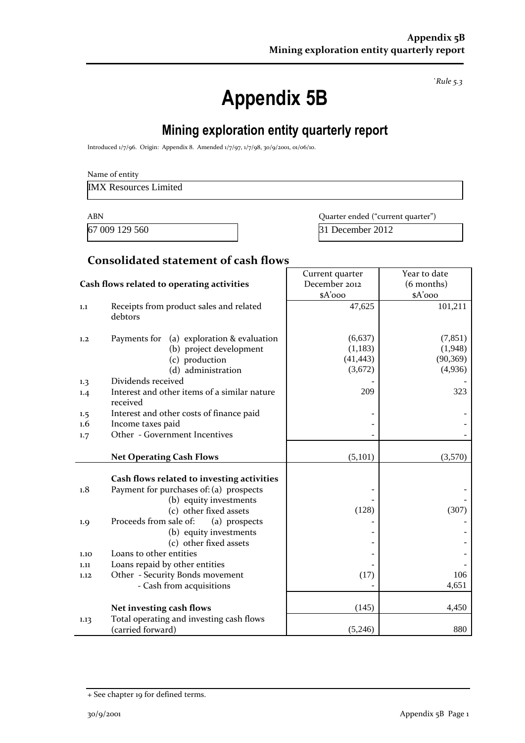*`Rule 5.3*

# **Appendix 5B**

## **Mining exploration entity quarterly report**

Introduced 1/7/96. Origin: Appendix 8. Amended 1/7/97, 1/7/98, 30/9/2001, 01/06/10.

IMX Resources Limited

67 009 129 560 31 December 2012

ABN **ABN** Quarter ended ("current quarter")

### **Consolidated statement of cash flows**

|                                            |                                                                                                                                                                                      | Current quarter                            | Year to date                                |  |
|--------------------------------------------|--------------------------------------------------------------------------------------------------------------------------------------------------------------------------------------|--------------------------------------------|---------------------------------------------|--|
| Cash flows related to operating activities |                                                                                                                                                                                      | December 2012                              | (6 months)                                  |  |
|                                            |                                                                                                                                                                                      | \$A'ooo                                    | \$A'ooo                                     |  |
| 1.1                                        | Receipts from product sales and related<br>debtors                                                                                                                                   | 47,625                                     | 101,211                                     |  |
| 1,2                                        | (a) exploration & evaluation<br>Payments for<br>(b) project development<br>(c) production<br>(d) administration                                                                      | (6,637)<br>(1,183)<br>(41, 443)<br>(3,672) | (7, 851)<br>(1,948)<br>(90, 369)<br>(4,936) |  |
| 1.3                                        | Dividends received                                                                                                                                                                   |                                            |                                             |  |
| 1.4                                        | Interest and other items of a similar nature<br>received                                                                                                                             | 209                                        | 323                                         |  |
| 1.5                                        | Interest and other costs of finance paid                                                                                                                                             |                                            |                                             |  |
| 1.6                                        | Income taxes paid                                                                                                                                                                    |                                            |                                             |  |
| Other - Government Incentives<br>1.7       |                                                                                                                                                                                      |                                            |                                             |  |
|                                            |                                                                                                                                                                                      |                                            |                                             |  |
|                                            | <b>Net Operating Cash Flows</b>                                                                                                                                                      | (5,101)                                    | (3,570)                                     |  |
| 1.8<br>1.9                                 | Cash flows related to investing activities<br>Payment for purchases of: (a) prospects<br>(b) equity investments<br>(c) other fixed assets<br>Proceeds from sale of:<br>(a) prospects | (128)                                      | (307)                                       |  |
|                                            | (b) equity investments<br>(c) other fixed assets                                                                                                                                     |                                            |                                             |  |
| 1.10                                       | Loans to other entities                                                                                                                                                              |                                            |                                             |  |
| 1.11                                       | Loans repaid by other entities                                                                                                                                                       |                                            |                                             |  |
| 1.12                                       | Other - Security Bonds movement                                                                                                                                                      | (17)                                       | 106                                         |  |
|                                            | - Cash from acquisitions                                                                                                                                                             |                                            | 4,651                                       |  |
|                                            | Net investing cash flows                                                                                                                                                             | (145)                                      | 4,450                                       |  |
| 1.13                                       | Total operating and investing cash flows<br>(carried forward)                                                                                                                        | (5,246)                                    | 880                                         |  |

<sup>+</sup> See chapter 19 for defined terms.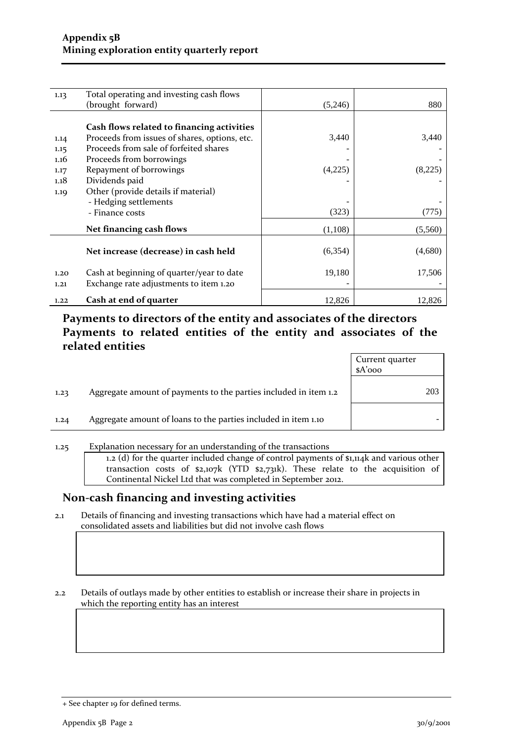| 1.13 | Total operating and investing cash flows      |          |         |
|------|-----------------------------------------------|----------|---------|
|      | (brought forward)                             | (5,246)  | 880     |
|      |                                               |          |         |
|      | Cash flows related to financing activities    |          |         |
| 1.14 | Proceeds from issues of shares, options, etc. | 3,440    | 3,440   |
| 1.15 | Proceeds from sale of forfeited shares        |          |         |
| 1.16 | Proceeds from borrowings                      |          |         |
| 1.17 | Repayment of borrowings                       | (4,225)  | (8,225) |
| 1.18 | Dividends paid                                |          |         |
| 1.19 | Other (provide details if material)           |          |         |
|      | - Hedging settlements                         |          |         |
|      | - Finance costs                               | (323)    | (775)   |
|      | Net financing cash flows                      | (1,108)  | (5,560) |
|      |                                               |          |         |
|      | Net increase (decrease) in cash held          | (6, 354) | (4,680) |
|      |                                               |          |         |
| 1.20 | Cash at beginning of quarter/year to date     | 19,180   | 17,506  |
| 1,21 | Exchange rate adjustments to item 1.20        |          |         |
| 1.22 | Cash at end of quarter                        | 12,826   | 12,826  |

### **Payments to directors of the entity and associates of the directors Payments to related entities of the entity and associates of the related entities**

|      |                                                                  | Current quarter<br>$A'$ 000 |     |
|------|------------------------------------------------------------------|-----------------------------|-----|
| 1,23 | Aggregate amount of payments to the parties included in item 1.2 |                             | 203 |
| 1.24 | Aggregate amount of loans to the parties included in item 1.10   |                             |     |

1.25 Explanation necessary for an understanding of the transactions 1.2 (d) for the quarter included change of control payments of \$1,114k and various other transaction costs of \$2,107k (YTD \$2,731k). These relate to the acquisition of Continental Nickel Ltd that was completed in September 2012.

#### **Non-cash financing and investing activities**

2.1 Details of financing and investing transactions which have had a material effect on consolidated assets and liabilities but did not involve cash flows

2.2 Details of outlays made by other entities to establish or increase their share in projects in which the reporting entity has an interest

<sup>+</sup> See chapter 19 for defined terms.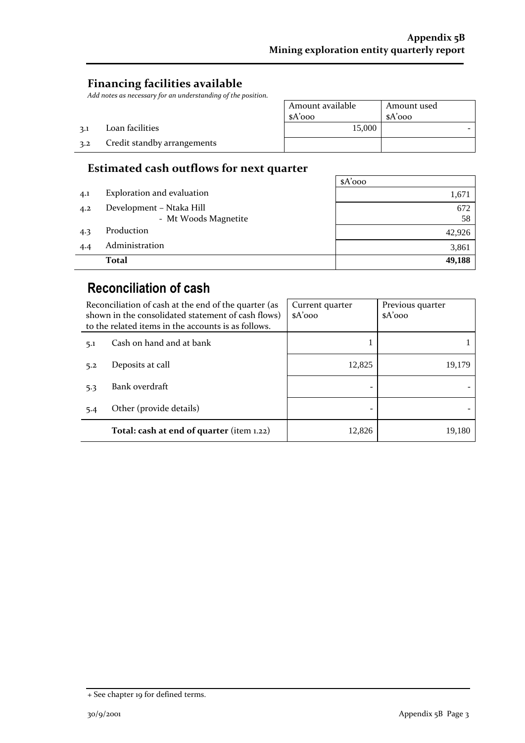### **Financing facilities available**

3.2 Credit standby arrangements

3.1 Loan facilities

Add notes as necessary for an understanding of the position

| osition. |                  |             |
|----------|------------------|-------------|
|          | Amount available | Amount used |
|          | $A'$ ooo         | $A'$ ooo    |
|          | 15,000           |             |
|          |                  |             |

#### **Estimated cash outflows for next quarter**

|     |                            | $A'$ 000 |
|-----|----------------------------|----------|
| 4.1 | Exploration and evaluation | 1,671    |
| 4.2 | Development - Ntaka Hill   | 672      |
|     | - Mt Woods Magnetite       | 58       |
| 4.3 | Production                 | 42,926   |
| 4.4 | Administration             | 3,861    |
|     | <b>Total</b>               | 49,188   |

### **Reconciliation of cash**

| Reconciliation of cash at the end of the quarter (as<br>shown in the consolidated statement of cash flows)<br>to the related items in the accounts is as follows. |                          | Current quarter<br>$A'$ 000 | Previous quarter<br>$A'$ 000 |
|-------------------------------------------------------------------------------------------------------------------------------------------------------------------|--------------------------|-----------------------------|------------------------------|
| 5.1                                                                                                                                                               | Cash on hand and at bank |                             |                              |
| 5.2                                                                                                                                                               | Deposits at call         | 12,825                      | 19,179                       |
| 5.3                                                                                                                                                               | Bank overdraft           |                             |                              |
| 5.4                                                                                                                                                               | Other (provide details)  |                             |                              |
| Total: cash at end of quarter (item 1.22)                                                                                                                         |                          | 12,826                      | 19,180                       |

<sup>+</sup> See chapter 19 for defined terms.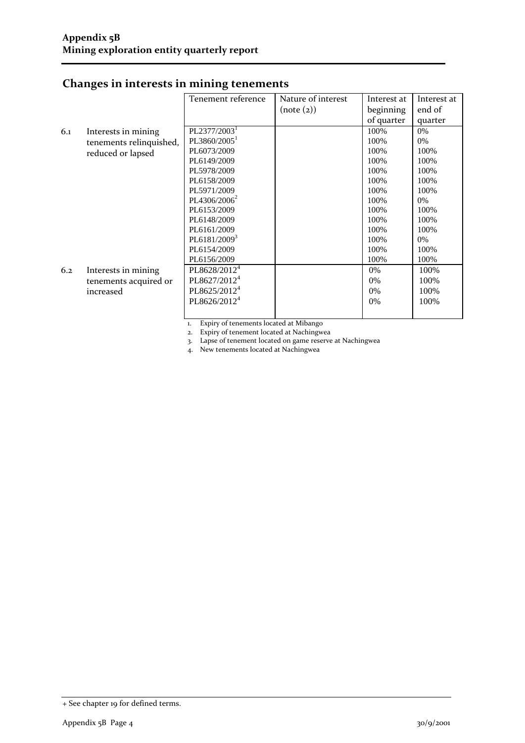|     |                                              | Tenement reference       | Nature of interest<br>(note (2)) | Interest at<br>beginning | Interest at<br>end of |
|-----|----------------------------------------------|--------------------------|----------------------------------|--------------------------|-----------------------|
|     |                                              |                          |                                  | of quarter               | quarter               |
|     |                                              |                          |                                  |                          |                       |
| 6.1 | Interests in mining                          | PL2377/2003 <sup>1</sup> |                                  | 100%                     | 0%                    |
|     | tenements relinquished,<br>reduced or lapsed | PL3860/2005 <sup>1</sup> |                                  | 100%                     | 0%                    |
|     |                                              | PL6073/2009              |                                  | 100%                     | 100%                  |
|     |                                              | PL6149/2009              |                                  | 100%                     | 100%                  |
|     |                                              | PL5978/2009              |                                  | 100%                     | 100%                  |
|     |                                              | PL6158/2009              |                                  | 100%                     | 100%                  |
|     |                                              | PL5971/2009              |                                  | 100%                     | 100%                  |
|     |                                              | PL4306/2006 <sup>2</sup> |                                  | 100%                     | 0%                    |
|     |                                              | PL6153/2009              |                                  | 100%                     | 100%                  |
|     |                                              | PL6148/2009              |                                  | 100%                     | 100%                  |
|     |                                              | PL6161/2009              |                                  | 100%                     | 100%                  |
|     |                                              | PL6181/2009 <sup>3</sup> |                                  | 100%                     | 0%                    |
|     |                                              | PL6154/2009              |                                  | 100%                     | 100%                  |
|     |                                              | PL6156/2009              |                                  | 100%                     | 100%                  |
| 6.2 | Interests in mining                          | PL8628/2012 <sup>4</sup> |                                  | 0%                       | 100%                  |
|     | tenements acquired or                        | PL8627/2012 <sup>4</sup> |                                  | 0%                       | 100%                  |
|     | increased                                    | PL8625/2012 <sup>4</sup> |                                  | 0%                       | 100%                  |
|     |                                              | PL8626/2012 <sup>4</sup> |                                  | 0%                       | 100%                  |
|     |                                              |                          |                                  |                          |                       |

### **Changes in interests in mining tenements**

1. Expiry of tenements located at Mibango

2. Expiry of tenement located at Nachingwea

3. Lapse of tenement located on game reserve at Nachingwea

4. New tenements located at Nachingwea

<sup>+</sup> See chapter 19 for defined terms.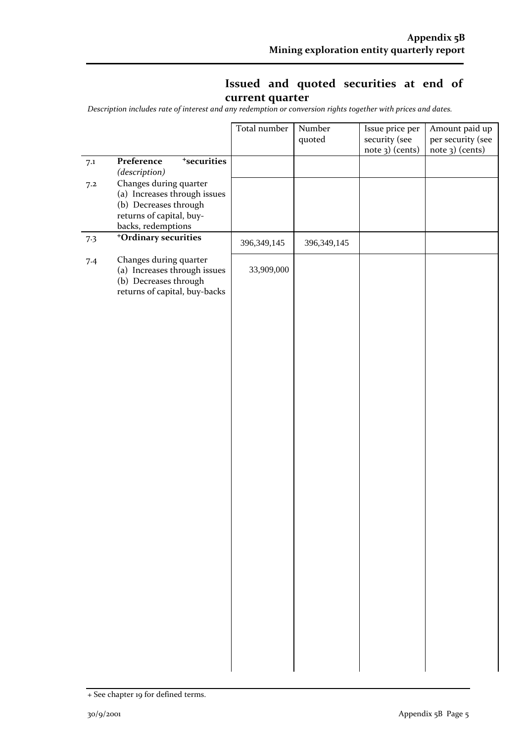### **Issued and quoted securities at end of current quarter**

*Description includes rate of interest and any redemption or conversion rights together with prices and dates.*

|     |                                                                                                                                   | Total number  | Number        | Issue price per                  | Amount paid up                       |
|-----|-----------------------------------------------------------------------------------------------------------------------------------|---------------|---------------|----------------------------------|--------------------------------------|
|     |                                                                                                                                   |               | quoted        | security (see<br>note 3) (cents) | per security (see<br>note 3) (cents) |
| 7.1 | <sup>+</sup> securities<br>Preference<br>(description)                                                                            |               |               |                                  |                                      |
| 7.2 | Changes during quarter<br>(a) Increases through issues<br>(b) Decreases through<br>returns of capital, buy-<br>backs, redemptions |               |               |                                  |                                      |
| 7.3 | <sup>+</sup> Ordinary securities                                                                                                  | 396, 349, 145 | 396, 349, 145 |                                  |                                      |
| 7.4 | Changes during quarter<br>(a) Increases through issues<br>(b) Decreases through<br>returns of capital, buy-backs                  | 33,909,000    |               |                                  |                                      |
|     |                                                                                                                                   |               |               |                                  |                                      |
|     |                                                                                                                                   |               |               |                                  |                                      |
|     |                                                                                                                                   |               |               |                                  |                                      |
|     |                                                                                                                                   |               |               |                                  |                                      |
|     |                                                                                                                                   |               |               |                                  |                                      |
|     |                                                                                                                                   |               |               |                                  |                                      |
|     |                                                                                                                                   |               |               |                                  |                                      |
|     |                                                                                                                                   |               |               |                                  |                                      |
|     |                                                                                                                                   |               |               |                                  |                                      |
|     |                                                                                                                                   |               |               |                                  |                                      |
|     |                                                                                                                                   |               |               |                                  |                                      |
|     |                                                                                                                                   |               |               |                                  |                                      |
|     |                                                                                                                                   |               |               |                                  |                                      |
|     |                                                                                                                                   |               |               |                                  |                                      |
|     |                                                                                                                                   |               |               |                                  |                                      |

<sup>+</sup> See chapter 19 for defined terms.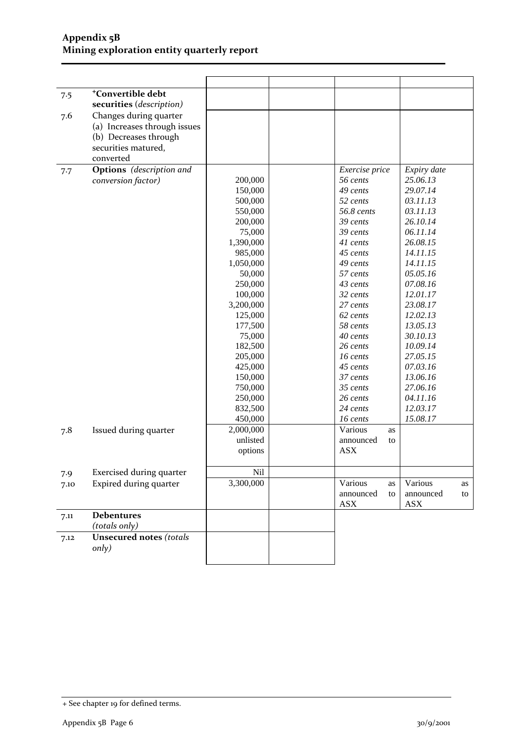#### **Appendix 5B Mining exploration entity quarterly report**

|      | <sup>+</sup> Convertible debt   |           |                       |                       |
|------|---------------------------------|-----------|-----------------------|-----------------------|
| 7.5  |                                 |           |                       |                       |
|      | securities (description)        |           |                       |                       |
| 7.6  | Changes during quarter          |           |                       |                       |
|      | (a) Increases through issues    |           |                       |                       |
|      | (b) Decreases through           |           |                       |                       |
|      | securities matured,             |           |                       |                       |
|      | converted                       |           |                       |                       |
| 7.7  | <b>Options</b> (description and |           | Exercise price        | Expiry date           |
|      | conversion factor)              | 200,000   | 56 cents              | 25.06.13              |
|      |                                 | 150,000   | 49 cents              | 29.07.14              |
|      |                                 | 500,000   | 52 cents              | 03.11.13              |
|      |                                 | 550,000   | 56.8 cents            | 03.11.13              |
|      |                                 | 200,000   | 39 cents              | 26.10.14              |
|      |                                 | 75,000    | 39 cents              | 06.11.14              |
|      |                                 | 1,390,000 | 41 cents              | 26.08.15              |
|      |                                 | 985,000   | 45 cents              | 14.11.15              |
|      |                                 | 1,050,000 | 49 cents              | 14.11.15              |
|      |                                 | 50,000    | 57 cents              | 05.05.16              |
|      |                                 | 250,000   | 43 cents              | 07.08.16              |
|      |                                 | 100,000   | 32 cents              | 12.01.17              |
|      |                                 | 3,200,000 | 27 cents              | 23.08.17              |
|      |                                 | 125,000   | 62 cents              | 12.02.13              |
|      |                                 | 177,500   | 58 cents              | 13.05.13              |
|      |                                 | 75,000    | 40 cents              | 30.10.13              |
|      |                                 | 182,500   | 26 cents              | 10.09.14              |
|      |                                 | 205,000   | 16 cents              | 27.05.15              |
|      |                                 | 425,000   | 45 cents              | 07.03.16              |
|      |                                 | 150,000   | 37 cents              | 13.06.16              |
|      |                                 | 750,000   | 35 cents              | 27.06.16              |
|      |                                 | 250,000   | 26 cents              | 04.11.16              |
|      |                                 | 832,500   | 24 cents              | 12.03.17              |
|      |                                 | 450,000   | 16 cents              | 15.08.17              |
| 7.8  | Issued during quarter           | 2,000,000 | Various<br>as         |                       |
|      |                                 | unlisted  | announced<br>to       |                       |
|      |                                 | options   | <b>ASX</b>            |                       |
|      |                                 |           |                       |                       |
| 7.9  | <b>Exercised during quarter</b> | Nil       |                       |                       |
|      | Expired during quarter          | 3,300,000 | Various               | Various               |
| 7.10 |                                 |           | as<br>announced<br>to | as<br>announced<br>to |
|      |                                 |           | <b>ASX</b>            | <b>ASX</b>            |
|      |                                 |           |                       |                       |
| 7.11 | <b>Debentures</b>               |           |                       |                       |
|      | (totals only)                   |           |                       |                       |
| 7.12 | <b>Unsecured notes (totals</b>  |           |                       |                       |
|      | only)                           |           |                       |                       |
|      |                                 |           |                       |                       |

<sup>+</sup> See chapter 19 for defined terms.